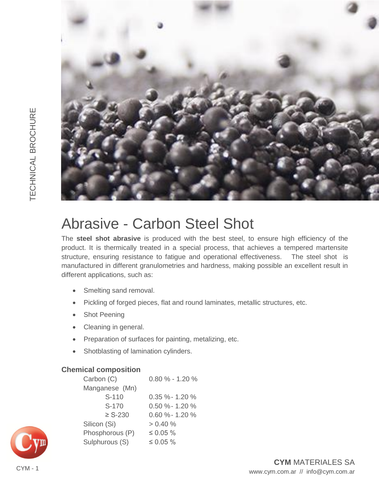

# Abrasive - Carbon Steel Shot

The **steel shot abrasive** is produced with the best steel, to ensure high efficiency of the product. It is thermically treated in a special process, that achieves a tempered martensite structure, ensuring resistance to fatigue and operational effectiveness. The steel shot is manufactured in different granulometries and hardness, making possible an excellent result in different applications, such as:

- Smelting sand removal.
- Pickling of forged pieces, flat and round laminates, metallic structures, etc.
- Shot Peening
- Cleaning in general.
- Preparation of surfaces for painting, metalizing, etc.
- Shotblasting of lamination cylinders.

# **Chemical composition**

| Carbon (C)      | $0.80\% - 1.20\%$   |  |  |  |  |  |  |  |
|-----------------|---------------------|--|--|--|--|--|--|--|
| Manganese (Mn)  |                     |  |  |  |  |  |  |  |
| S-110           | $0.35 \% - 1.20 \%$ |  |  |  |  |  |  |  |
| S-170           | $0.50 \%$ - 1.20%   |  |  |  |  |  |  |  |
| $\geq$ S-230    | $0.60 \%$ - 1.20%   |  |  |  |  |  |  |  |
| Silicon (Si)    | $> 0.40 \%$         |  |  |  |  |  |  |  |
| Phosphorous (P) | $\leq 0.05 \%$      |  |  |  |  |  |  |  |
| Sulphurous (S)  | $\leq 0.05 \%$      |  |  |  |  |  |  |  |
|                 |                     |  |  |  |  |  |  |  |

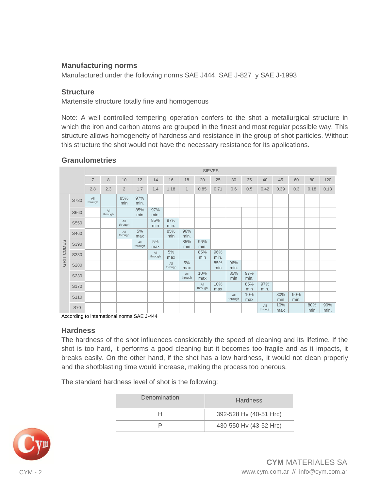### **Manufacturing norms**

Manufactured under the following norms SAE J444, SAE J-827 y SAE J-1993

#### **Structure**

Martensite structure totally fine and homogenous

Note: A well controlled tempering operation confers to the shot a metallurgical structure in which the iron and carbon atoms are grouped in the finest and most regular possible way. This structure allows homogeneity of hardness and resistance in the group of shot particles. Without this structure the shot would not have the necessary resistance for its applications.

## **Granulometries**

|            |            | <b>SIEVES</b>  |                |                         |                |                |                |                |                |             |                |             |                |            |             |            |             |
|------------|------------|----------------|----------------|-------------------------|----------------|----------------|----------------|----------------|----------------|-------------|----------------|-------------|----------------|------------|-------------|------------|-------------|
|            |            | $\overline{7}$ | 8              | 10                      | 12             | 14             | 16             | 18             | 20             | 25          | 30             | 35          | 40             | 45         | 60          | 80         | 120         |
|            |            | 2.8            | 2.3            | $\overline{2}$          | 1.7            | 1.4            | 1.18           | $\mathbf{1}$   | 0.85           | 0.71        | 0.6            | 0.5         | 0.42           | 0.39       | 0.3         | 0.18       | 0.13        |
| GRIT CODES | S780       | All<br>through |                | 85%<br>min              | 97%<br>min.    |                |                |                |                |             |                |             |                |            |             |            |             |
|            | S660       |                | All<br>through |                         | 85%<br>min     | 97%<br>min.    |                |                |                |             |                |             |                |            |             |            |             |
|            | S550       |                |                | All<br>through          |                | 85%<br>min     | 97%<br>min.    |                |                |             |                |             |                |            |             |            |             |
|            | S460       |                |                | $A\parallel$<br>through | 5%<br>max      |                | 85%<br>min     | 96%<br>min.    |                |             |                |             |                |            |             |            |             |
|            | S390       |                |                |                         | All<br>through | 5%<br>max      |                | 85%<br>min     | 96%<br>min.    |             |                |             |                |            |             |            |             |
|            | S330       |                |                |                         |                | All<br>through | 5%<br>max      |                | 85%<br>min     | 96%<br>min. |                |             |                |            |             |            |             |
|            | S280       |                |                |                         |                |                | All<br>through | 5%<br>max      |                | 85%<br>min  | 96%<br>min.    |             |                |            |             |            |             |
|            | S230       |                |                |                         |                |                |                | All<br>through | 10%<br>max     |             | 85%<br>min     | 97%<br>min. |                |            |             |            |             |
|            | S170       |                |                |                         |                |                |                |                | All<br>through | 10%<br>max  |                | 85%<br>min  | 97%<br>min.    |            |             |            |             |
|            | S110       |                |                |                         |                |                |                |                |                |             | All<br>through | 10%<br>max  |                | 80%<br>min | 90%<br>min. |            |             |
|            | <b>S70</b> |                |                |                         |                |                |                |                |                |             |                |             | All<br>through | 10%<br>max |             | 80%<br>min | 90%<br>min. |

According to international norms SAE J-444

#### **Hardness**

The hardness of the shot influences considerably the speed of cleaning and its lifetime. If the shot is too hard, it performs a good cleaning but it becomes too fragile and as it impacts, it breaks easily. On the other hand, if the shot has a low hardness, it would not clean properly and the shotblasting time would increase, making the process too onerous.

The standard hardness level of shot is the following:

| Denomination | <b>Hardness</b>        |
|--------------|------------------------|
| н            | 392-528 Hy (40-51 Hrc) |
|              | 430-550 Hv (43-52 Hrc) |